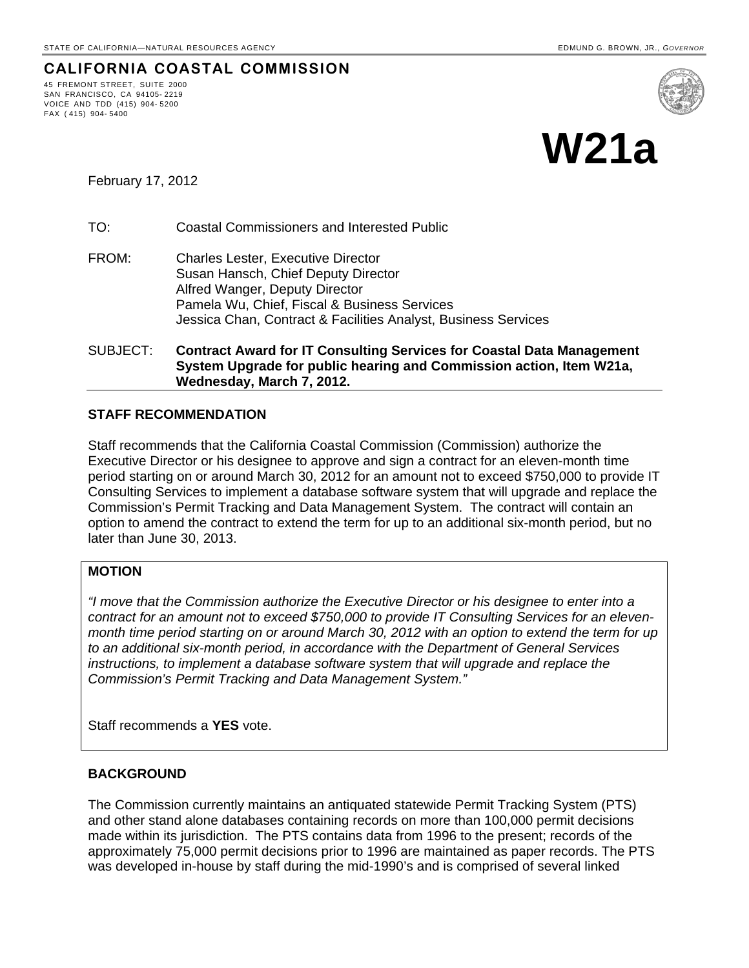## **CALIFORNIA COASTAL COMMISSION**

45 FREMONT STREET, SUITE 2000 SAN FRANCISCO, CA 94105- 2219 VOICE AND TDD (415) 904- 5200 FAX ( 415) 904- 5400



February 17, 2012

TO: Coastal Commissioners and Interested Public

FROM: Charles Lester, Executive Director Susan Hansch, Chief Deputy Director Alfred Wanger, Deputy Director Pamela Wu, Chief, Fiscal & Business Services Jessica Chan, Contract & Facilities Analyst, Business Services

SUBJECT: **Contract Award for IT Consulting Services for Coastal Data Management System Upgrade for public hearing and Commission action, Item W21a, Wednesday, March 7, 2012.**

### **STAFF RECOMMENDATION**

Staff recommends that the California Coastal Commission (Commission) authorize the Executive Director or his designee to approve and sign a contract for an eleven-month time period starting on or around March 30, 2012 for an amount not to exceed \$750,000 to provide IT Consulting Services to implement a database software system that will upgrade and replace the Commission's Permit Tracking and Data Management System. The contract will contain an option to amend the contract to extend the term for up to an additional six-month period, but no later than June 30, 2013.

## **MOTION**

*"I move that the Commission authorize the Executive Director or his designee to enter into a contract for an amount not to exceed \$750,000 to provide IT Consulting Services for an elevenmonth time period starting on or around March 30, 2012 with an option to extend the term for up to an additional six-month period, in accordance with the Department of General Services instructions, to implement a database software system that will upgrade and replace the Commission's Permit Tracking and Data Management System."* 

Staff recommends a **YES** vote.

## **BACKGROUND**

The Commission currently maintains an antiquated statewide Permit Tracking System (PTS) and other stand alone databases containing records on more than 100,000 permit decisions made within its jurisdiction. The PTS contains data from 1996 to the present; records of the approximately 75,000 permit decisions prior to 1996 are maintained as paper records. The PTS was developed in-house by staff during the mid-1990's and is comprised of several linked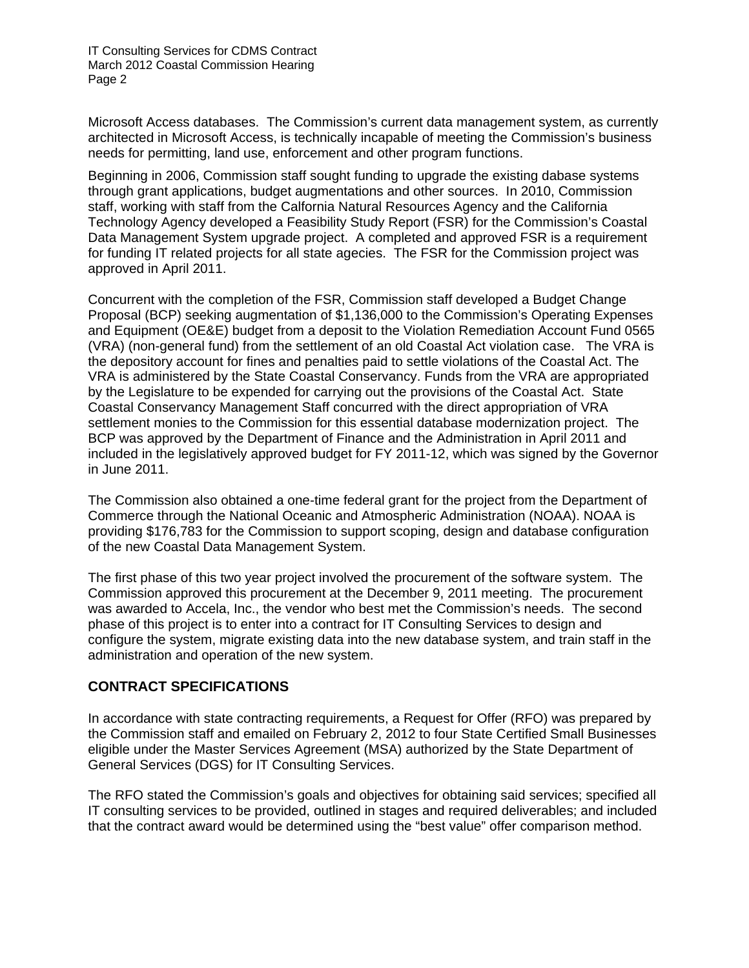IT Consulting Services for CDMS Contract March 2012 Coastal Commission Hearing Page 2

Microsoft Access databases. The Commission's current data management system, as currently architected in Microsoft Access, is technically incapable of meeting the Commission's business needs for permitting, land use, enforcement and other program functions.

Beginning in 2006, Commission staff sought funding to upgrade the existing dabase systems through grant applications, budget augmentations and other sources. In 2010, Commission staff, working with staff from the Calfornia Natural Resources Agency and the California Technology Agency developed a Feasibility Study Report (FSR) for the Commission's Coastal Data Management System upgrade project. A completed and approved FSR is a requirement for funding IT related projects for all state agecies. The FSR for the Commission project was approved in April 2011.

Concurrent with the completion of the FSR, Commission staff developed a Budget Change Proposal (BCP) seeking augmentation of \$1,136,000 to the Commission's Operating Expenses and Equipment (OE&E) budget from a deposit to the Violation Remediation Account Fund 0565 (VRA) (non-general fund) from the settlement of an old Coastal Act violation case. The VRA is the depository account for fines and penalties paid to settle violations of the Coastal Act. The VRA is administered by the State Coastal Conservancy. Funds from the VRA are appropriated by the Legislature to be expended for carrying out the provisions of the Coastal Act. State Coastal Conservancy Management Staff concurred with the direct appropriation of VRA settlement monies to the Commission for this essential database modernization project. The BCP was approved by the Department of Finance and the Administration in April 2011 and included in the legislatively approved budget for FY 2011-12, which was signed by the Governor in June 2011.

The Commission also obtained a one-time federal grant for the project from the Department of Commerce through the National Oceanic and Atmospheric Administration (NOAA). NOAA is providing \$176,783 for the Commission to support scoping, design and database configuration of the new Coastal Data Management System.

The first phase of this two year project involved the procurement of the software system. The Commission approved this procurement at the December 9, 2011 meeting. The procurement was awarded to Accela, Inc., the vendor who best met the Commission's needs. The second phase of this project is to enter into a contract for IT Consulting Services to design and configure the system, migrate existing data into the new database system, and train staff in the administration and operation of the new system.

# **CONTRACT SPECIFICATIONS**

In accordance with state contracting requirements, a Request for Offer (RFO) was prepared by the Commission staff and emailed on February 2, 2012 to four State Certified Small Businesses eligible under the Master Services Agreement (MSA) authorized by the State Department of General Services (DGS) for IT Consulting Services.

The RFO stated the Commission's goals and objectives for obtaining said services; specified all IT consulting services to be provided, outlined in stages and required deliverables; and included that the contract award would be determined using the "best value" offer comparison method.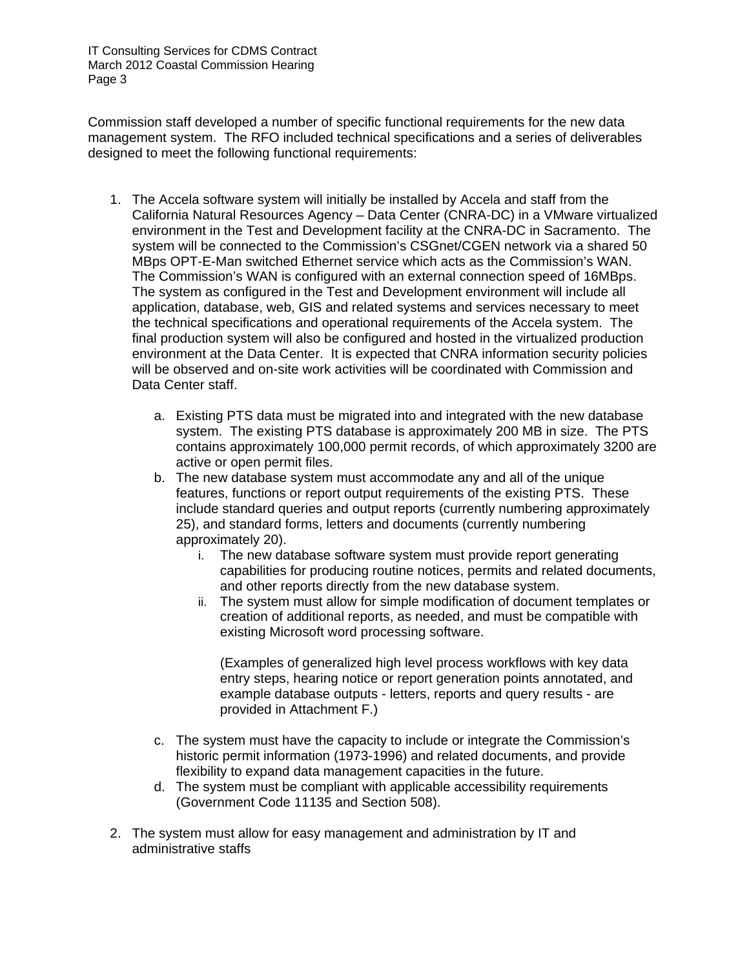IT Consulting Services for CDMS Contract March 2012 Coastal Commission Hearing Page 3

Commission staff developed a number of specific functional requirements for the new data management system. The RFO included technical specifications and a series of deliverables designed to meet the following functional requirements:

- 1. The Accela software system will initially be installed by Accela and staff from the California Natural Resources Agency – Data Center (CNRA-DC) in a VMware virtualized environment in the Test and Development facility at the CNRA-DC in Sacramento. The system will be connected to the Commission's CSGnet/CGEN network via a shared 50 MBps OPT-E-Man switched Ethernet service which acts as the Commission's WAN. The Commission's WAN is configured with an external connection speed of 16MBps. The system as configured in the Test and Development environment will include all application, database, web, GIS and related systems and services necessary to meet the technical specifications and operational requirements of the Accela system. The final production system will also be configured and hosted in the virtualized production environment at the Data Center. It is expected that CNRA information security policies will be observed and on-site work activities will be coordinated with Commission and Data Center staff.
	- a. Existing PTS data must be migrated into and integrated with the new database system. The existing PTS database is approximately 200 MB in size. The PTS contains approximately 100,000 permit records, of which approximately 3200 are active or open permit files.
	- b. The new database system must accommodate any and all of the unique features, functions or report output requirements of the existing PTS. These include standard queries and output reports (currently numbering approximately 25), and standard forms, letters and documents (currently numbering approximately 20).
		- i. The new database software system must provide report generating capabilities for producing routine notices, permits and related documents, and other reports directly from the new database system.
		- ii. The system must allow for simple modification of document templates or creation of additional reports, as needed, and must be compatible with existing Microsoft word processing software.

(Examples of generalized high level process workflows with key data entry steps, hearing notice or report generation points annotated, and example database outputs - letters, reports and query results - are provided in Attachment F.)

- c. The system must have the capacity to include or integrate the Commission's historic permit information (1973-1996) and related documents, and provide flexibility to expand data management capacities in the future.
- d. The system must be compliant with applicable accessibility requirements (Government Code 11135 and Section 508).
- 2. The system must allow for easy management and administration by IT and administrative staffs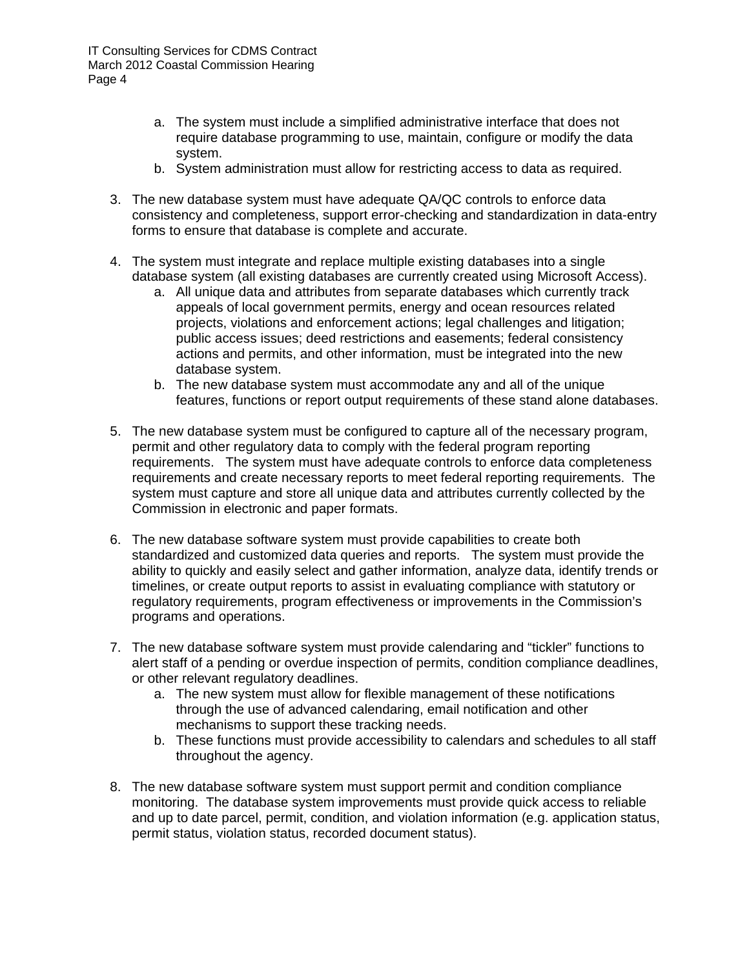- a. The system must include a simplified administrative interface that does not require database programming to use, maintain, configure or modify the data system.
- b. System administration must allow for restricting access to data as required.
- 3. The new database system must have adequate QA/QC controls to enforce data consistency and completeness, support error-checking and standardization in data-entry forms to ensure that database is complete and accurate.
- 4. The system must integrate and replace multiple existing databases into a single database system (all existing databases are currently created using Microsoft Access).
	- a. All unique data and attributes from separate databases which currently track appeals of local government permits, energy and ocean resources related projects, violations and enforcement actions; legal challenges and litigation; public access issues; deed restrictions and easements; federal consistency actions and permits, and other information, must be integrated into the new database system.
	- b. The new database system must accommodate any and all of the unique features, functions or report output requirements of these stand alone databases.
- 5. The new database system must be configured to capture all of the necessary program, permit and other regulatory data to comply with the federal program reporting requirements. The system must have adequate controls to enforce data completeness requirements and create necessary reports to meet federal reporting requirements. The system must capture and store all unique data and attributes currently collected by the Commission in electronic and paper formats.
- 6. The new database software system must provide capabilities to create both standardized and customized data queries and reports. The system must provide the ability to quickly and easily select and gather information, analyze data, identify trends or timelines, or create output reports to assist in evaluating compliance with statutory or regulatory requirements, program effectiveness or improvements in the Commission's programs and operations.
- 7. The new database software system must provide calendaring and "tickler" functions to alert staff of a pending or overdue inspection of permits, condition compliance deadlines, or other relevant regulatory deadlines.
	- a. The new system must allow for flexible management of these notifications through the use of advanced calendaring, email notification and other mechanisms to support these tracking needs.
	- b. These functions must provide accessibility to calendars and schedules to all staff throughout the agency.
- 8. The new database software system must support permit and condition compliance monitoring. The database system improvements must provide quick access to reliable and up to date parcel, permit, condition, and violation information (e.g. application status, permit status, violation status, recorded document status).